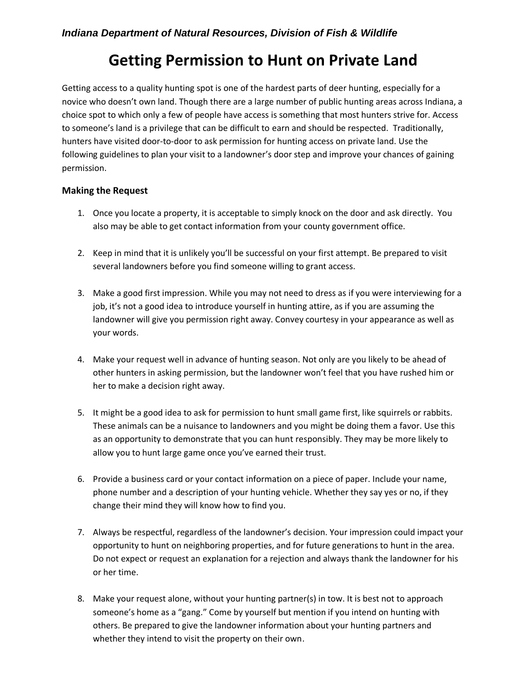## **Getting Permission to Hunt on Private Land**

Getting access to a quality hunting spot is one of the hardest parts of deer hunting, especially for a novice who doesn't own land. Though there are a large number of public hunting areas across Indiana, a choice spot to which only a few of people have access is something that most hunters strive for. Access to someone's land is a privilege that can be difficult to earn and should be respected. Traditionally, hunters have visited door-to-door to ask permission for hunting access on private land. Use the following guidelines to plan your visit to a landowner's door step and improve your chances of gaining permission.

## **Making the Request**

- 1. Once you locate a property, it is acceptable to simply knock on the door and ask directly. You also may be able to get contact information from your county government office.
- 2. Keep in mind that it is unlikely you'll be successful on your first attempt. Be prepared to visit several landowners before you find someone willing to grant access.
- 3. Make a good first impression. While you may not need to dress as if you were interviewing for a job, it's not a good idea to introduce yourself in hunting attire, as if you are assuming the landowner will give you permission right away. Convey courtesy in your appearance as well as your words.
- 4. Make your request well in advance of hunting season. Not only are you likely to be ahead of other hunters in asking permission, but the landowner won't feel that you have rushed him or her to make a decision right away.
- 5. It might be a good idea to ask for permission to hunt small game first, like squirrels or rabbits. These animals can be a nuisance to landowners and you might be doing them a favor. Use this as an opportunity to demonstrate that you can hunt responsibly. They may be more likely to allow you to hunt large game once you've earned their trust.
- 6. Provide a business card or your contact information on a piece of paper. Include your name, phone number and a description of your hunting vehicle. Whether they say yes or no, if they change their mind they will know how to find you.
- 7. Always be respectful, regardless of the landowner's decision. Your impression could impact your opportunity to hunt on neighboring properties, and for future generations to hunt in the area. Do not expect or request an explanation for a rejection and always thank the landowner for his or her time.
- 8. Make your request alone, without your hunting partner(s) in tow. It is best not to approach someone's home as a "gang." Come by yourself but mention if you intend on hunting with others. Be prepared to give the landowner information about your hunting partners and whether they intend to visit the property on their own.